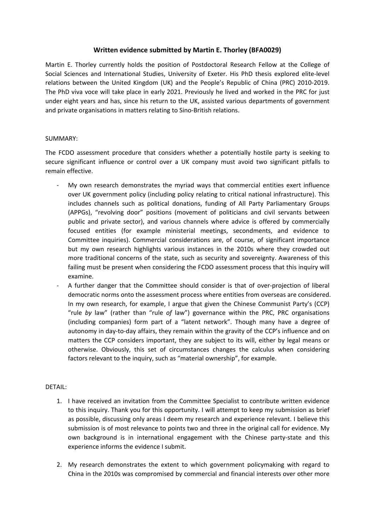## **Written evidence submitted by Martin E. Thorley (BFA0029)**

Martin E. Thorley currently holds the position of Postdoctoral Research Fellow at the College of Social Sciences and International Studies, University of Exeter. His PhD thesis explored elite-level relations between the United Kingdom (UK) and the People's Republic of China (PRC) 2010-2019. The PhD viva voce will take place in early 2021. Previously he lived and worked in the PRC for just under eight years and has, since his return to the UK, assisted various departments of government and private organisations in matters relating to Sino-British relations.

## SUMMARY:

The FCDO assessment procedure that considers whether a potentially hostile party is seeking to secure significant influence or control over a UK company must avoid two significant pitfalls to remain effective.

- My own research demonstrates the myriad ways that commercial entities exert influence over UK government policy (including policy relating to critical national infrastructure). This includes channels such as political donations, funding of All Party Parliamentary Groups (APPGs), "revolving door" positions (movement of politicians and civil servants between public and private sector), and various channels where advice is offered by commercially focused entities (for example ministerial meetings, secondments, and evidence to Committee inquiries). Commercial considerations are, of course, of significant importance but my own research highlights various instances in the 2010s where they crowded out more traditional concerns of the state, such as security and sovereignty. Awareness of this failing must be present when considering the FCDO assessment process that this inquiry will examine.
- A further danger that the Committee should consider is that of over-projection of liberal democratic norms onto the assessment process where entities from overseas are considered. In my own research, for example, I argue that given the Chinese Communist Party's (CCP) "rule *by* law" (rather than "rule *of* law") governance within the PRC, PRC organisations (including companies) form part of a "latent network". Though many have a degree of autonomy in day-to-day affairs, they remain within the gravity of the CCP's influence and on matters the CCP considers important, they are subject to its will, either by legal means or otherwise. Obviously, this set of circumstances changes the calculus when considering factors relevant to the inquiry, such as "material ownership", for example.

## DETAIL:

- 1. I have received an invitation from the Committee Specialist to contribute written evidence to this inquiry. Thank you for this opportunity. I will attempt to keep my submission as brief as possible, discussing only areas I deem my research and experience relevant. I believe this submission is of most relevance to points two and three in the original call for evidence. My own background is in international engagement with the Chinese party-state and this experience informs the evidence I submit.
- 2. My research demonstrates the extent to which government policymaking with regard to China in the 2010s was compromised by commercial and financial interests over other more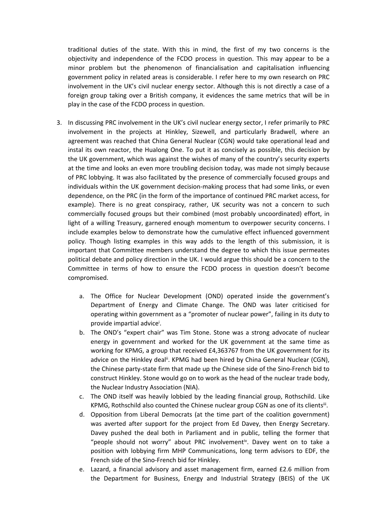traditional duties of the state. With this in mind, the first of my two concerns is the objectivity and independence of the FCDO process in question. This may appear to be a minor problem but the phenomenon of financialisation and capitalisation influencing government policy in related areas is considerable. I refer here to my own research on PRC involvement in the UK's civil nuclear energy sector. Although this is not directly a case of a foreign group taking over a British company, it evidences the same metrics that will be in play in the case of the FCDO process in question.

- 3. In discussing PRC involvement in the UK's civil nuclear energy sector, I refer primarily to PRC involvement in the projects at Hinkley, Sizewell, and particularly Bradwell, where an agreement was reached that China General Nuclear (CGN) would take operational lead and instal its own reactor, the Hualong One. To put it as concisely as possible, this decision by the UK government, which was against the wishes of many of the country's security experts at the time and looks an even more troubling decision today, was made not simply because of PRC lobbying. It was also facilitated by the presence of commercially focused groups and individuals within the UK government decision-making process that had some links, or even dependence, on the PRC (in the form of the importance of continued PRC market access, for example). There is no great conspiracy, rather, UK security was not a concern to such commercially focused groups but their combined (most probably uncoordinated) effort, in light of a willing Treasury, garnered enough momentum to overpower security concerns. I include examples below to demonstrate how the cumulative effect influenced government policy. Though listing examples in this way adds to the length of this submission, it is important that Committee members understand the degree to which this issue permeates political debate and policy direction in the UK. I would argue this should be a concern to the Committee in terms of how to ensure the FCDO process in question doesn't become compromised.
	- a. The Office for Nuclear Development (OND) operated inside the government's Department of Energy and Climate Change. The OND was later criticised for operating within government as a "promoter of nuclear power", failing in its duty to provide impartial advice<sup>i</sup>.
	- b. The OND's "expert chair" was Tim Stone. Stone was a strong advocate of nuclear energy in government and worked for the UK government at the same time as working for KPMG, a group that received £4,363767 from the UK government for its advice on the Hinkley deal<sup>ii</sup>. KPMG had been hired by China General Nuclear (CGN), the Chinese party-state firm that made up the Chinese side of the Sino-French bid to construct Hinkley. Stone would go on to work as the head of the nuclear trade body, the Nuclear Industry Association (NIA).
	- c. The OND itself was heavily lobbied by the leading financial group, Rothschild. Like KPMG, Rothschild also counted the Chinese nuclear group CGN as one of its clientsii.
	- d. Opposition from Liberal Democrats (at the time part of the coalition government) was averted after support for the project from Ed Davey, then Energy Secretary. Davey pushed the deal both in Parliament and in public, telling the former that "people should not worry" about PRC involvement<sup>iv</sup>. Davey went on to take a position with lobbying firm MHP Communications, long term advisors to EDF, the French side of the Sino-French bid for Hinkley.
	- e. Lazard, a financial advisory and asset management firm, earned £2.6 million from the Department for Business, Energy and Industrial Strategy (BEIS) of the UK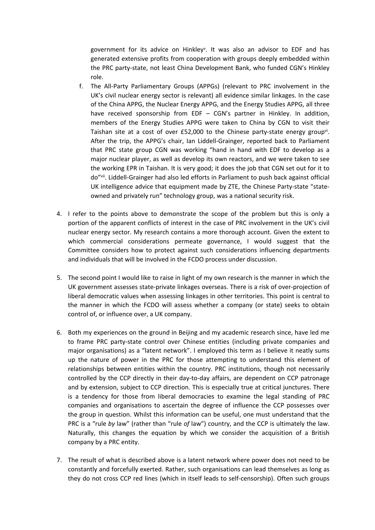government for its advice on Hinkley<sup>v</sup>. It was also an advisor to EDF and has generated extensive profits from cooperation with groups deeply embedded within the PRC party-state, not least China Development Bank, who funded CGN's Hinkley role.

- f. The All-Party Parliamentary Groups (APPGs) (relevant to PRC involvement in the UK's civil nuclear energy sector is relevant) all evidence similar linkages. In the case of the China APPG, the Nuclear Energy APPG, and the Energy Studies APPG, all three have received sponsorship from EDF – CGN's partner in Hinkley. In addition, members of the Energy Studies APPG were taken to China by CGN to visit their Taishan site at a cost of over £52,000 to the Chinese party-state energy group<sup>vi</sup>. After the trip, the APPG's chair, Ian Liddell-Grainger, reported back to Parliament that PRC state group CGN was working "hand in hand with EDF to develop as a major nuclear player, as well as develop its own reactors, and we were taken to see the working EPR in Taishan. It is very good; it does the job that CGN set out for it to do"vii. Liddell-Grainger had also led efforts in Parliament to push back against official UK intelligence advice that equipment made by ZTE, the Chinese Party-state "stateowned and privately run" technology group, was a national security risk.
- 4. I refer to the points above to demonstrate the scope of the problem but this is only a portion of the apparent conflicts of interest in the case of PRC involvement in the UK's civil nuclear energy sector. My research contains a more thorough account. Given the extent to which commercial considerations permeate governance, I would suggest that the Committee considers how to protect against such considerations influencing departments and individuals that will be involved in the FCDO process under discussion.
- 5. The second point I would like to raise in light of my own research is the manner in which the UK government assesses state-private linkages overseas. There is a risk of over-projection of liberal democratic values when assessing linkages in other territories. This point is central to the manner in which the FCDO will assess whether a company (or state) seeks to obtain control of, or influence over, a UK company.
- 6. Both my experiences on the ground in Beijing and my academic research since, have led me to frame PRC party-state control over Chinese entities (including private companies and major organisations) as a "latent network". I employed this term as I believe it neatly sums up the nature of power in the PRC for those attempting to understand this element of relationships between entities within the country. PRC institutions, though not necessarily controlled by the CCP directly in their day-to-day affairs, are dependent on CCP patronage and by extension, subject to CCP direction. This is especially true at critical junctures. There is a tendency for those from liberal democracies to examine the legal standing of PRC companies and organisations to ascertain the degree of influence the CCP possesses over the group in question. Whilst this information can be useful, one must understand that the PRC is a "rule *by* law" (rather than "rule *of* law") country, and the CCP is ultimately the law. Naturally, this changes the equation by which we consider the acquisition of a British company by a PRC entity.
- 7. The result of what is described above is a latent network where power does not need to be constantly and forcefully exerted. Rather, such organisations can lead themselves as long as they do not cross CCP red lines (which in itself leads to self-censorship). Often such groups